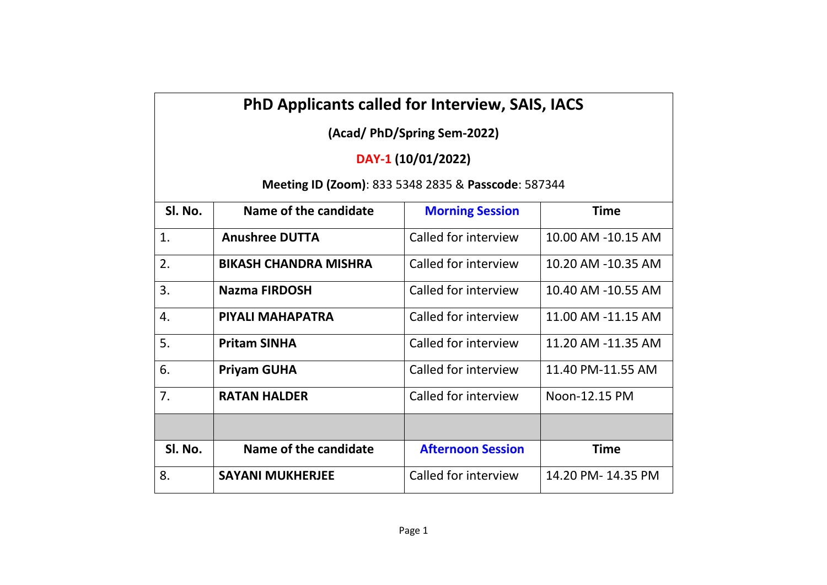## **PhD Applicants called for Interview, SAIS, IACS**

**(Acad/ PhD/Spring Sem-2022)**

## **DAY-1 (10/01/2022)**

## **Meeting ID (Zoom)**: 833 5348 2835 & **Passcode**: 587344

| SI. No. | Name of the candidate        | <b>Morning Session</b>   | Time               |
|---------|------------------------------|--------------------------|--------------------|
| 1.      | <b>Anushree DUTTA</b>        | Called for interview     | 10.00 AM -10.15 AM |
| 2.      | <b>BIKASH CHANDRA MISHRA</b> | Called for interview     | 10.20 AM -10.35 AM |
| 3.      | <b>Nazma FIRDOSH</b>         | Called for interview     | 10.40 AM -10.55 AM |
| 4.      | PIYALI MAHAPATRA             | Called for interview     | 11.00 AM -11.15 AM |
| 5.      | <b>Pritam SINHA</b>          | Called for interview     | 11.20 AM -11.35 AM |
| 6.      | <b>Priyam GUHA</b>           | Called for interview     | 11.40 PM-11.55 AM  |
| 7.      | <b>RATAN HALDER</b>          | Called for interview     | Noon-12.15 PM      |
|         |                              |                          |                    |
| SI. No. | Name of the candidate        | <b>Afternoon Session</b> | <b>Time</b>        |
| 8.      | <b>SAYANI MUKHERJEE</b>      | Called for interview     | 14.20 PM-14.35 PM  |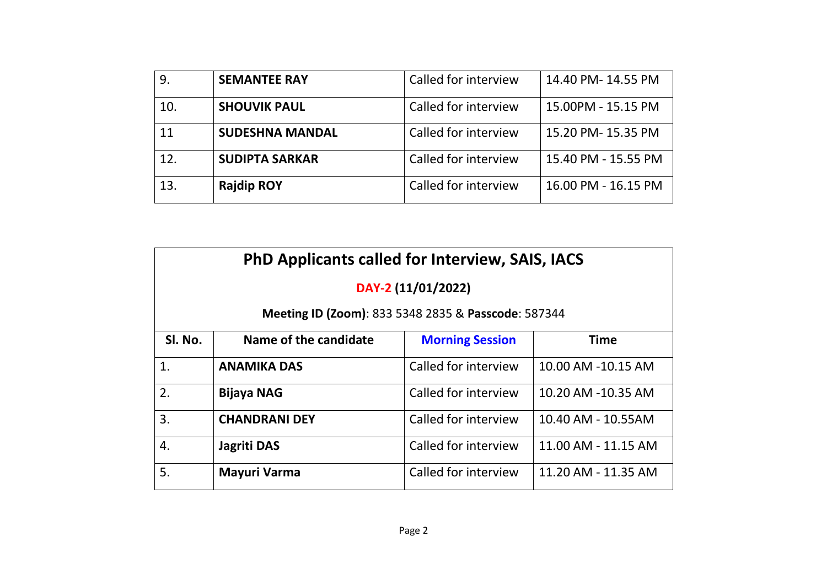| 9.  | <b>SEMANTEE RAY</b>    | Called for interview | 14.40 PM-14.55 PM   |
|-----|------------------------|----------------------|---------------------|
| 10. | <b>SHOUVIK PAUL</b>    | Called for interview | 15.00PM - 15.15 PM  |
| 11  | <b>SUDESHNA MANDAL</b> | Called for interview | 15.20 PM- 15.35 PM  |
| 12. | <b>SUDIPTA SARKAR</b>  | Called for interview | 15.40 PM - 15.55 PM |
| 13. | <b>Rajdip ROY</b>      | Called for interview | 16.00 PM - 16.15 PM |

| <b>PhD Applicants called for Interview, SAIS, IACS</b> |                       |                        |                     |  |  |  |
|--------------------------------------------------------|-----------------------|------------------------|---------------------|--|--|--|
| DAY-2 (11/01/2022)                                     |                       |                        |                     |  |  |  |
| Meeting ID (Zoom): 833 5348 2835 & Passcode: 587344    |                       |                        |                     |  |  |  |
| SI. No.                                                | Name of the candidate | <b>Morning Session</b> | <b>Time</b>         |  |  |  |
| 1.                                                     | <b>ANAMIKA DAS</b>    | Called for interview   | 10.00 AM -10.15 AM  |  |  |  |
| 2.                                                     | <b>Bijaya NAG</b>     | Called for interview   | 10.20 AM -10.35 AM  |  |  |  |
| 3.                                                     | <b>CHANDRANI DEY</b>  | Called for interview   | 10.40 AM - 10.55AM  |  |  |  |
| 4.                                                     | Jagriti DAS           | Called for interview   | 11.00 AM - 11.15 AM |  |  |  |
| 5.                                                     | Mayuri Varma          | Called for interview   | 11.20 AM - 11.35 AM |  |  |  |